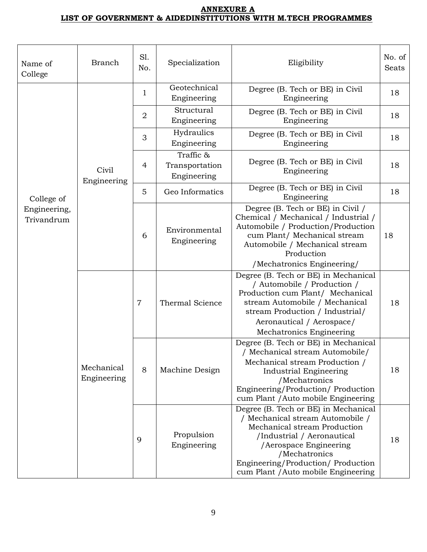## **ANNEXURE A LIST OF GOVERNMENT & AIDEDINSTITUTIONS WITH M.TECH PROGRAMMES**

| Name of<br>College                       | <b>Branch</b>             | S1.<br>No.     | Specialization                             | Eligibility                                                                                                                                                                                                                                                    | No. of<br>Seats |
|------------------------------------------|---------------------------|----------------|--------------------------------------------|----------------------------------------------------------------------------------------------------------------------------------------------------------------------------------------------------------------------------------------------------------------|-----------------|
|                                          |                           | 1              | Geotechnical<br>Engineering                | Degree (B. Tech or BE) in Civil<br>Engineering                                                                                                                                                                                                                 | 18              |
| College of<br>Engineering,<br>Trivandrum |                           | $\overline{2}$ | Structural<br>Engineering                  | Degree (B. Tech or BE) in Civil<br>Engineering                                                                                                                                                                                                                 | 18              |
|                                          |                           | 3              | Hydraulics<br>Engineering                  | Degree (B. Tech or BE) in Civil<br>Engineering                                                                                                                                                                                                                 | 18              |
|                                          | Civil<br>Engineering      | 4              | Traffic &<br>Transportation<br>Engineering | Degree (B. Tech or BE) in Civil<br>Engineering                                                                                                                                                                                                                 | 18              |
|                                          |                           | 5              | Geo Informatics                            | Degree (B. Tech or BE) in Civil<br>Engineering                                                                                                                                                                                                                 | 18              |
|                                          |                           | 6              | Environmental<br>Engineering               | Degree (B. Tech or BE) in Civil /<br>Chemical / Mechanical / Industrial /<br>Automobile / Production/Production<br>cum Plant/ Mechanical stream<br>Automobile / Mechanical stream<br>Production<br>/Mechatronics Engineering/                                  | 18              |
|                                          | Mechanical<br>Engineering | $\overline{7}$ | Thermal Science                            | Degree (B. Tech or BE) in Mechanical<br>/ Automobile / Production /<br>Production cum Plant/ Mechanical<br>stream Automobile / Mechanical<br>stream Production / Industrial/<br>Aeronautical / Aerospace/<br>Mechatronics Engineering                          | 18              |
|                                          |                           | 8              | Machine Design                             | Degree (B. Tech or BE) in Mechanical<br>/ Mechanical stream Automobile/<br>Mechanical stream Production /<br><b>Industrial Engineering</b><br>/Mechatronics<br>Engineering/Production/Production<br>cum Plant / Auto mobile Engineering                        | 18              |
|                                          |                           | 9              | Propulsion<br>Engineering                  | Degree (B. Tech or BE) in Mechanical<br>/ Mechanical stream Automobile /<br>Mechanical stream Production<br>/Industrial / Aeronautical<br>/Aerospace Engineering<br>/Mechatronics<br>Engineering/Production/ Production<br>cum Plant / Auto mobile Engineering | 18              |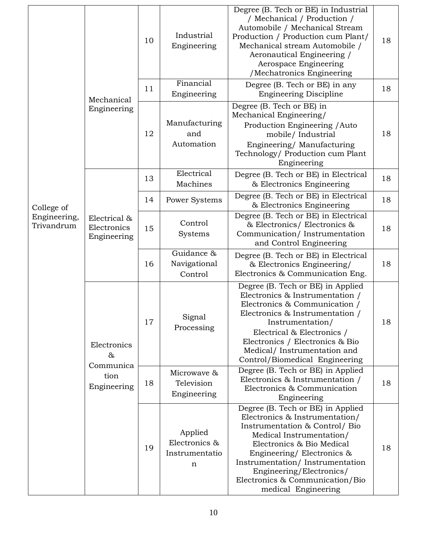| Mechanical                 |                                                         | 10 | Industrial<br>Engineering                                 | Degree (B. Tech or BE) in Industrial<br>/ Mechanical / Production /<br>Automobile / Mechanical Stream<br>Production / Production cum Plant/<br>Mechanical stream Automobile /<br>Aeronautical Engineering /<br>Aerospace Engineering<br>/Mechatronics Engineering                                                    | 18 |
|----------------------------|---------------------------------------------------------|----|-----------------------------------------------------------|----------------------------------------------------------------------------------------------------------------------------------------------------------------------------------------------------------------------------------------------------------------------------------------------------------------------|----|
|                            |                                                         | 11 | Financial<br>Engineering                                  | Degree (B. Tech or BE) in any<br><b>Engineering Discipline</b>                                                                                                                                                                                                                                                       | 18 |
|                            | Engineering                                             | 12 | Manufacturing<br>and<br>Automation                        | Degree (B. Tech or BE) in<br>Mechanical Engineering/<br>Production Engineering / Auto<br>mobile/Industrial<br>Engineering/Manufacturing<br>Technology/ Production cum Plant<br>Engineering                                                                                                                           | 18 |
|                            |                                                         | 13 | Electrical<br>Machines                                    | Degree (B. Tech or BE) in Electrical<br>& Electronics Engineering                                                                                                                                                                                                                                                    | 18 |
| College of                 |                                                         | 14 | Power Systems                                             | Degree (B. Tech or BE) in Electrical<br>& Electronics Engineering                                                                                                                                                                                                                                                    | 18 |
| Engineering,<br>Trivandrum | Electrical &<br>Electronics<br>Engineering              | 15 | Control<br>Systems                                        | Degree (B. Tech or BE) in Electrical<br>& Electronics/ Electronics &<br>Communication/Instrumentation<br>and Control Engineering                                                                                                                                                                                     | 18 |
|                            |                                                         | 16 | Guidance &<br>Navigational<br>Control                     | Degree (B. Tech or BE) in Electrical<br>& Electronics Engineering/<br>Electronics & Communication Eng.                                                                                                                                                                                                               | 18 |
|                            | Electronics<br>$\&$<br>Communica<br>tion<br>Engineering | 17 | Signal<br>Processing                                      | Degree (B. Tech or BE) in Applied<br>Electronics & Instrumentation /<br>Electronics & Communication /<br>Electronics & Instrumentation /<br>Instrumentation/<br>Electrical & Electronics /<br>Electronics / Electronics & Bio<br>Medical/Instrumentation and<br>Control/Biomedical Engineering                       | 18 |
|                            |                                                         | 18 | Microwave &<br>Television<br>Engineering                  | Degree (B. Tech or BE) in Applied<br>Electronics & Instrumentation /<br>Electronics & Communication<br>Engineering                                                                                                                                                                                                   | 18 |
|                            |                                                         | 19 | Applied<br>Electronics &<br>Instrumentatio<br>$\mathbf n$ | Degree (B. Tech or BE) in Applied<br>Electronics & Instrumentation/<br>Instrumentation & Control/ Bio<br>Medical Instrumentation/<br>Electronics & Bio Medical<br>Engineering/Electronics &<br>Instrumentation/Instrumentation<br>Engineering/Electronics/<br>Electronics & Communication/Bio<br>medical Engineering | 18 |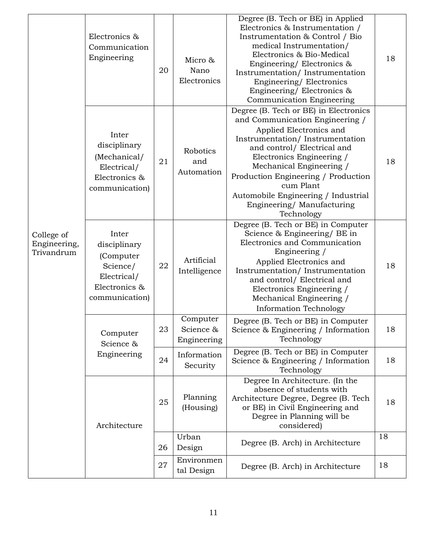| College of<br>Engineering,<br>Trivandrum | Electronics &<br>Communication<br>Engineering                                                    | 20 | Micro &<br>Nano<br>Electronics       | Degree (B. Tech or BE) in Applied<br>Electronics & Instrumentation /<br>Instrumentation & Control / Bio<br>medical Instrumentation/<br>Electronics & Bio-Medical<br>Engineering/Electronics &<br>Instrumentation/Instrumentation<br>Engineering/Electronics<br>Engineering/Electronics &<br>Communication Engineering                                                | 18 |
|------------------------------------------|--------------------------------------------------------------------------------------------------|----|--------------------------------------|----------------------------------------------------------------------------------------------------------------------------------------------------------------------------------------------------------------------------------------------------------------------------------------------------------------------------------------------------------------------|----|
|                                          | Inter<br>disciplinary<br>(Mechanical/<br>Electrical/<br>Electronics &<br>communication)          | 21 | Robotics<br>and<br>Automation        | Degree (B. Tech or BE) in Electronics<br>and Communication Engineering /<br>Applied Electronics and<br>Instrumentation/Instrumentation<br>and control/ Electrical and<br>Electronics Engineering /<br>Mechanical Engineering /<br>Production Engineering / Production<br>cum Plant<br>Automobile Engineering / Industrial<br>Engineering/Manufacturing<br>Technology | 18 |
|                                          | Inter<br>disciplinary<br>(Computer<br>Science/<br>Electrical/<br>Electronics &<br>communication) | 22 | Artificial<br>Intelligence           | Degree (B. Tech or BE) in Computer<br>Science & Engineering/ BE in<br>Electronics and Communication<br>Engineering /<br>Applied Electronics and<br>Instrumentation/Instrumentation<br>and control/ Electrical and<br>Electronics Engineering /<br>Mechanical Engineering /<br><b>Information Technology</b>                                                          | 18 |
|                                          | Computer<br>Science &                                                                            | 23 | Computer<br>Science &<br>Engineering | Degree (B. Tech or BE) in Computer<br>Science & Engineering / Information<br>Technology                                                                                                                                                                                                                                                                              | 18 |
|                                          | Engineering                                                                                      | 24 | Information<br>Security              | Degree (B. Tech or BE) in Computer<br>Science & Engineering / Information<br>Technology                                                                                                                                                                                                                                                                              | 18 |
|                                          | Architecture                                                                                     | 25 | Planning<br>(Housing)                | Degree In Architecture. (In the<br>absence of students with<br>Architecture Degree, Degree (B. Tech<br>or BE) in Civil Engineering and<br>Degree in Planning will be<br>considered)                                                                                                                                                                                  | 18 |
|                                          |                                                                                                  | 26 | Urban<br>Design                      | Degree (B. Arch) in Architecture                                                                                                                                                                                                                                                                                                                                     | 18 |
|                                          |                                                                                                  | 27 | Environmen<br>tal Design             | Degree (B. Arch) in Architecture                                                                                                                                                                                                                                                                                                                                     | 18 |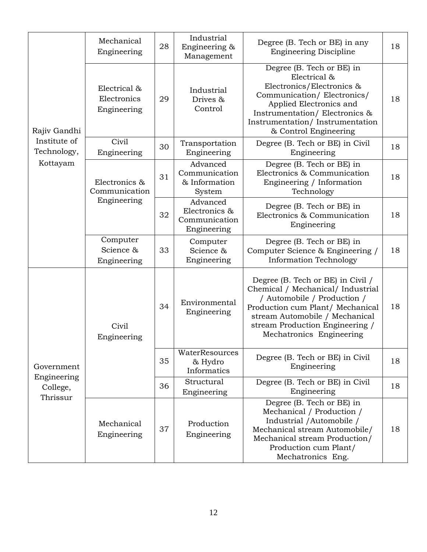| Rajiv Gandhi                                      | Mechanical<br>Engineering                  | 28 | Industrial<br>Engineering &<br>Management                 | Degree (B. Tech or BE) in any<br><b>Engineering Discipline</b>                                                                                                                                                                             | 18 |
|---------------------------------------------------|--------------------------------------------|----|-----------------------------------------------------------|--------------------------------------------------------------------------------------------------------------------------------------------------------------------------------------------------------------------------------------------|----|
|                                                   | Electrical &<br>Electronics<br>Engineering | 29 | Industrial<br>Drives &<br>Control                         | Degree (B. Tech or BE) in<br>Electrical &<br>Electronics/Electronics &<br>Communication/Electronics/<br>Applied Electronics and<br>Instrumentation/Electronics &<br>Instrumentation/Instrumentation<br>& Control Engineering               | 18 |
| Institute of<br>Technology,                       | Civil<br>Engineering                       | 30 | Transportation<br>Engineering                             | Degree (B. Tech or BE) in Civil<br>Engineering                                                                                                                                                                                             | 18 |
| Kottayam                                          | Electronics &<br>Communication             | 31 | Advanced<br>Communication<br>& Information<br>System      | Degree (B. Tech or BE) in<br>Electronics & Communication<br>Engineering / Information<br>Technology                                                                                                                                        | 18 |
|                                                   | Engineering                                | 32 | Advanced<br>Electronics &<br>Communication<br>Engineering | Degree (B. Tech or BE) in<br>Electronics & Communication<br>Engineering                                                                                                                                                                    | 18 |
|                                                   | Computer<br>Science &<br>Engineering       | 33 | Computer<br>Science &<br>Engineering                      | Degree (B. Tech or BE) in<br>Computer Science & Engineering /<br><b>Information Technology</b>                                                                                                                                             | 18 |
| Government<br>Engineering<br>College,<br>Thrissur | Civil<br>Engineering                       | 34 | Environmental<br>Engineering                              | Degree (B. Tech or BE) in Civil /<br>Chemical / Mechanical/ Industrial<br>/ Automobile / Production /<br>Production cum Plant/ Mechanical<br>stream Automobile / Mechanical<br>stream Production Engineering /<br>Mechatronics Engineering | 18 |
|                                                   |                                            | 35 | WaterResources<br>& Hydro<br>Informatics                  | Degree (B. Tech or BE) in Civil<br>Engineering                                                                                                                                                                                             | 18 |
|                                                   |                                            | 36 | Structural<br>Engineering                                 | Degree (B. Tech or BE) in Civil<br>Engineering                                                                                                                                                                                             | 18 |
|                                                   | Mechanical<br>Engineering                  | 37 | Production<br>Engineering                                 | Degree (B. Tech or BE) in<br>Mechanical / Production /<br>Industrial / Automobile /<br>Mechanical stream Automobile/<br>Mechanical stream Production/<br>Production cum Plant/<br>Mechatronics Eng.                                        | 18 |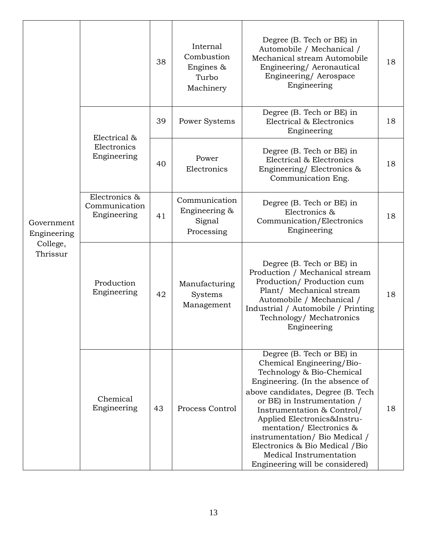|                                                   |                                               | 38 | Internal<br>Combustion<br>Engines &<br>Turbo<br>Machinery | Degree (B. Tech or BE) in<br>Automobile / Mechanical /<br>Mechanical stream Automobile<br>Engineering/Aeronautical<br>Engineering/ Aerospace<br>Engineering                                                                                                                                                                                                                                                           | 18 |
|---------------------------------------------------|-----------------------------------------------|----|-----------------------------------------------------------|-----------------------------------------------------------------------------------------------------------------------------------------------------------------------------------------------------------------------------------------------------------------------------------------------------------------------------------------------------------------------------------------------------------------------|----|
|                                                   |                                               | 39 | Power Systems                                             | Degree (B. Tech or BE) in<br>Electrical & Electronics<br>Engineering                                                                                                                                                                                                                                                                                                                                                  | 18 |
|                                                   | Electrical &<br>Electronics<br>Engineering    | 40 | Power<br>Electronics                                      | Degree (B. Tech or BE) in<br>Electrical & Electronics<br>Engineering/Electronics &<br>Communication Eng.                                                                                                                                                                                                                                                                                                              | 18 |
| Government<br>Engineering<br>College,<br>Thrissur | Electronics &<br>Communication<br>Engineering | 41 | Communication<br>Engineering &<br>Signal<br>Processing    | Degree (B. Tech or BE) in<br>Electronics &<br>Communication/Electronics<br>Engineering                                                                                                                                                                                                                                                                                                                                | 18 |
|                                                   | Production<br>Engineering                     | 42 | Manufacturing<br>Systems<br>Management                    | Degree (B. Tech or BE) in<br>Production / Mechanical stream<br>Production/ Production cum<br>Plant/ Mechanical stream<br>Automobile / Mechanical /<br>Industrial / Automobile / Printing<br>Technology/Mechatronics<br>Engineering                                                                                                                                                                                    | 18 |
|                                                   | Chemical<br>Engineering                       | 43 | Process Control                                           | Degree (B. Tech or BE) in<br>Chemical Engineering/Bio-<br>Technology & Bio-Chemical<br>Engineering. (In the absence of<br>above candidates, Degree (B. Tech<br>or BE) in Instrumentation /<br>Instrumentation & Control/<br>Applied Electronics&Instru-<br>mentation/Electronics &<br>instrumentation/ Bio Medical /<br>Electronics & Bio Medical / Bio<br>Medical Instrumentation<br>Engineering will be considered) | 18 |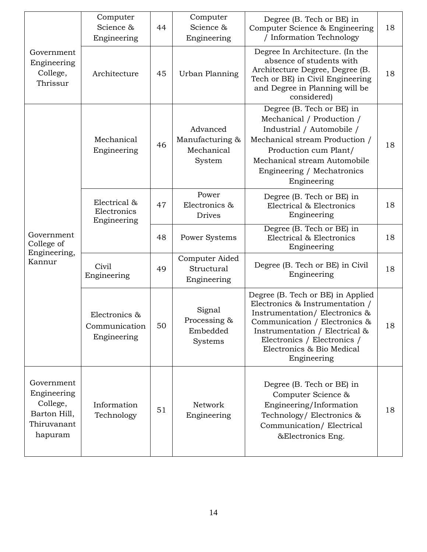|                                                                                 | Computer<br>Science &<br>Engineering          | 44 | Computer<br>Science &<br>Engineering                | Degree (B. Tech or BE) in<br>Computer Science & Engineering<br>/ Information Technology                                                                                                                                                             | 18 |
|---------------------------------------------------------------------------------|-----------------------------------------------|----|-----------------------------------------------------|-----------------------------------------------------------------------------------------------------------------------------------------------------------------------------------------------------------------------------------------------------|----|
| Government<br>Engineering<br>College,<br>Thrissur                               | Architecture                                  | 45 | Urban Planning                                      | Degree In Architecture. (In the<br>absence of students with<br>Architecture Degree, Degree (B.<br>Tech or BE) in Civil Engineering<br>and Degree in Planning will be<br>considered)                                                                 | 18 |
|                                                                                 | Mechanical<br>Engineering                     | 46 | Advanced<br>Manufacturing &<br>Mechanical<br>System | Degree (B. Tech or BE) in<br>Mechanical / Production /<br>Industrial / Automobile /<br>Mechanical stream Production /<br>Production cum Plant/<br>Mechanical stream Automobile<br>Engineering / Mechatronics<br>Engineering                         | 18 |
|                                                                                 | Electrical &<br>Electronics<br>Engineering    | 47 | Power<br>Electronics &<br><b>Drives</b>             | Degree (B. Tech or BE) in<br>Electrical & Electronics<br>Engineering                                                                                                                                                                                | 18 |
| Government<br>College of<br>Engineering,                                        |                                               | 48 | Power Systems                                       | Degree (B. Tech or BE) in<br>Electrical & Electronics<br>Engineering                                                                                                                                                                                | 18 |
| Kannur                                                                          | Civil<br>Engineering                          | 49 | Computer Aided<br>Structural<br>Engineering         | Degree (B. Tech or BE) in Civil<br>Engineering                                                                                                                                                                                                      | 18 |
|                                                                                 | Electronics &<br>Communication<br>Engineering | 50 | Signal<br>Processing &<br>Embedded<br>Systems       | Degree (B. Tech or BE) in Applied<br>Electronics & Instrumentation /<br>Instrumentation/Electronics &<br>Communication / Electronics &<br>Instrumentation / Electrical &<br>Electronics / Electronics /<br>Electronics & Bio Medical<br>Engineering | 18 |
| Government<br>Engineering<br>College,<br>Barton Hill,<br>Thiruvanant<br>hapuram | Information<br>Technology                     | 51 | Network<br>Engineering                              | Degree (B. Tech or BE) in<br>Computer Science &<br>Engineering/Information<br>Technology/ Electronics &<br>Communication/Electrical<br>&Electronics Eng.                                                                                            | 18 |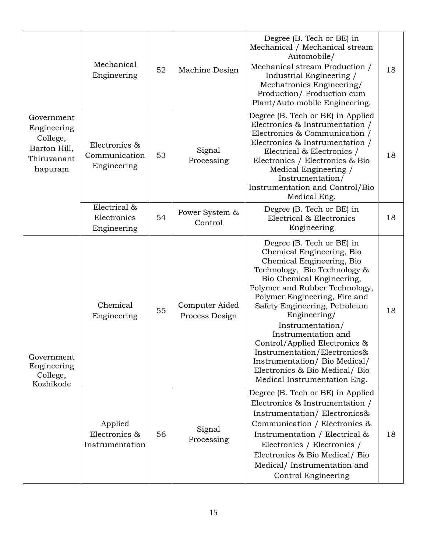|                                                                                 | Mechanical<br>Engineering                     | 52 | Machine Design                   | Degree (B. Tech or BE) in<br>Mechanical / Mechanical stream<br>Automobile/<br>Mechanical stream Production /<br>Industrial Engineering /<br>Mechatronics Engineering/<br>Production/ Production cum<br>Plant/Auto mobile Engineering.                                                                                                                                                                                                                                              | 18 |
|---------------------------------------------------------------------------------|-----------------------------------------------|----|----------------------------------|------------------------------------------------------------------------------------------------------------------------------------------------------------------------------------------------------------------------------------------------------------------------------------------------------------------------------------------------------------------------------------------------------------------------------------------------------------------------------------|----|
| Government<br>Engineering<br>College,<br>Barton Hill,<br>Thiruvanant<br>hapuram | Electronics &<br>Communication<br>Engineering | 53 | Signal<br>Processing             | Degree (B. Tech or BE) in Applied<br>Electronics & Instrumentation /<br>Electronics & Communication /<br>Electronics & Instrumentation /<br>Electrical & Electronics /<br>Electronics / Electronics & Bio<br>Medical Engineering /<br>Instrumentation/<br>Instrumentation and Control/Bio<br>Medical Eng.                                                                                                                                                                          | 18 |
|                                                                                 | Electrical &<br>Electronics<br>Engineering    | 54 | Power System &<br>Control        | Degree (B. Tech or BE) in<br>Electrical & Electronics<br>Engineering                                                                                                                                                                                                                                                                                                                                                                                                               | 18 |
| Government<br>Engineering<br>College,<br>Kozhikode                              | Chemical<br>Engineering                       | 55 | Computer Aided<br>Process Design | Degree (B. Tech or BE) in<br>Chemical Engineering, Bio<br>Chemical Engineering, Bio<br>Technology, Bio Technology &<br>Bio Chemical Engineering,<br>Polymer and Rubber Technology,<br>Polymer Engineering, Fire and<br>Safety Engineering, Petroleum<br>Engineering/<br>Instrumentation/<br>Instrumentation and<br>Control/Applied Electronics &<br>Instrumentation/Electronics&<br>Instrumentation/ Bio Medical/<br>Electronics & Bio Medical/Bio<br>Medical Instrumentation Eng. | 18 |
|                                                                                 | Applied<br>Electronics &<br>Instrumentation   | 56 | Signal<br>Processing             | Degree (B. Tech or BE) in Applied<br>Electronics & Instrumentation /<br>Instrumentation/Electronics&<br>Communication / Electronics &<br>Instrumentation / Electrical &<br>Electronics / Electronics /<br>Electronics & Bio Medical/Bio<br>Medical/Instrumentation and<br>Control Engineering                                                                                                                                                                                      | 18 |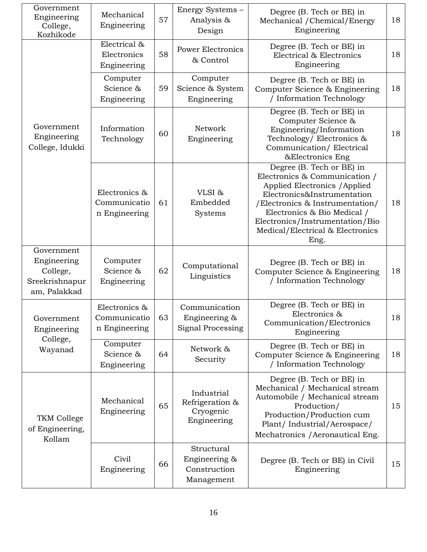| Government<br>Engineering<br>College,<br>Kozhikode                      | Mechanical<br>Engineering                      | 57 | Energy Systems -<br>Analysis &<br>Design                  | Degree (B. Tech or BE) in<br>Mechanical / Chemical/Energy<br>Engineering                                                                                                                                                                                                    | 18 |
|-------------------------------------------------------------------------|------------------------------------------------|----|-----------------------------------------------------------|-----------------------------------------------------------------------------------------------------------------------------------------------------------------------------------------------------------------------------------------------------------------------------|----|
|                                                                         | Electrical &<br>Electronics<br>Engineering     | 58 | <b>Power Electronics</b><br>& Control                     | Degree (B. Tech or BE) in<br>Electrical & Electronics<br>Engineering                                                                                                                                                                                                        | 18 |
|                                                                         | Computer<br>Science &<br>Engineering           | 59 | Computer<br>Science & System<br>Engineering               | Degree (B. Tech or BE) in<br>Computer Science & Engineering<br>/ Information Technology                                                                                                                                                                                     | 18 |
| Government<br>Engineering<br>College, Idukki                            | Information<br>Technology                      | 60 | Network<br>Engineering                                    | Degree (B. Tech or BE) in<br>Computer Science &<br>Engineering/Information<br>Technology/ Electronics &<br>Communication/Electrical<br>&Electronics Eng                                                                                                                     | 18 |
|                                                                         | Electronics &<br>Communicatio<br>n Engineering | 61 | VLSI&<br>Embedded<br>Systems                              | Degree (B. Tech or BE) in<br>Electronics & Communication /<br>Applied Electronics / Applied<br>Electronics&Instrumentation<br>/Electronics & Instrumentation/<br>Electronics & Bio Medical /<br>Electronics/Instrumentation/Bio<br>Medical/Electrical & Electronics<br>Eng. | 18 |
| Government<br>Engineering<br>College,<br>Sreekrishnapur<br>am, Palakkad | Computer<br>Science &<br>Engineering           | 62 | Computational<br>Linguistics                              | Degree (B. Tech or BE) in<br>Computer Science & Engineering<br>/ Information Technology                                                                                                                                                                                     | 18 |
| Government<br>Engineering                                               | Electronics &<br>Communicatio<br>n Engineering | 63 | Communication<br>Engineering &<br>Signal Processing       | Degree (B. Tech or BE) in<br>Electronics &<br>Communication/Electronics<br>Engineering                                                                                                                                                                                      | 18 |
| College,<br>Wayanad                                                     | Computer<br>Science &<br>Engineering           | 64 | Network &<br>Security                                     | Degree (B. Tech or BE) in<br>Computer Science & Engineering<br>/ Information Technology                                                                                                                                                                                     | 18 |
| <b>TKM College</b><br>of Engineering,<br>Kollam                         | Mechanical<br>Engineering                      | 65 | Industrial<br>Refrigeration &<br>Cryogenic<br>Engineering | Degree (B. Tech or BE) in<br>Mechanical / Mechanical stream<br>Automobile / Mechanical stream<br>Production/<br>Production/Production cum<br>Plant/Industrial/Aerospace/<br>Mechatronics / Aeronautical Eng.                                                                | 15 |
|                                                                         | Civil<br>Engineering                           | 66 | Structural<br>Engineering &<br>Construction<br>Management | Degree (B. Tech or BE) in Civil<br>Engineering                                                                                                                                                                                                                              | 15 |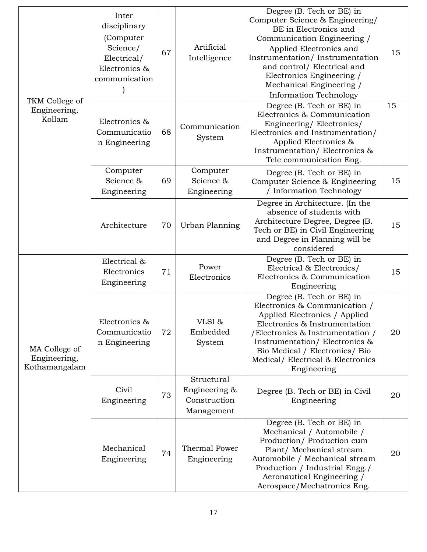| TKM College of<br>Engineering,<br>Kollam       | Inter<br>disciplinary<br>(Computer<br>Science/<br>Electrical/<br>Electronics &<br>communication | 67 | Artificial<br>Intelligence                                | Degree (B. Tech or BE) in<br>Computer Science & Engineering/<br>BE in Electronics and<br>Communication Engineering /<br>Applied Electronics and<br>Instrumentation/Instrumentation<br>and control/ Electrical and<br>Electronics Engineering /<br>Mechanical Engineering /<br><b>Information Technology</b> | 15 |
|------------------------------------------------|-------------------------------------------------------------------------------------------------|----|-----------------------------------------------------------|-------------------------------------------------------------------------------------------------------------------------------------------------------------------------------------------------------------------------------------------------------------------------------------------------------------|----|
|                                                | Electronics &<br>Communicatio<br>n Engineering                                                  | 68 | Communication<br>System                                   | Degree (B. Tech or BE) in<br>Electronics & Communication<br>Engineering/Electronics/<br>Electronics and Instrumentation/<br>Applied Electronics &<br>Instrumentation/Electronics &<br>Tele communication Eng.                                                                                               | 15 |
|                                                | Computer<br>Science &<br>Engineering                                                            | 69 | Computer<br>Science &<br>Engineering                      | Degree (B. Tech or BE) in<br>Computer Science & Engineering<br>/ Information Technology                                                                                                                                                                                                                     | 15 |
|                                                | Architecture                                                                                    | 70 | Urban Planning                                            | Degree in Architecture. (In the<br>absence of students with<br>Architecture Degree, Degree (B.<br>Tech or BE) in Civil Engineering<br>and Degree in Planning will be<br>considered                                                                                                                          | 15 |
|                                                | Electrical &<br>Electronics<br>Engineering                                                      | 71 | Power<br>Electronics                                      | Degree (B. Tech or BE) in<br>Electrical & Electronics/<br>Electronics & Communication<br>Engineering                                                                                                                                                                                                        | 15 |
| MA College of<br>Engineering,<br>Kothamangalam | Electronics &<br>Communicatio<br>n Engineering                                                  | 72 | VLSI&<br>Embedded<br>System                               | Degree (B. Tech or BE) in<br>Electronics & Communication /<br>Applied Electronics / Applied<br>Electronics & Instrumentation<br>/Electronics & Instrumentation /<br>Instrumentation/Electronics &<br>Bio Medical / Electronics/ Bio<br>Medical/Electrical & Electronics<br>Engineering                      | 20 |
|                                                | Civil<br>Engineering                                                                            | 73 | Structural<br>Engineering &<br>Construction<br>Management | Degree (B. Tech or BE) in Civil<br>Engineering                                                                                                                                                                                                                                                              | 20 |
|                                                | Mechanical<br>Engineering                                                                       | 74 | Thermal Power<br>Engineering                              | Degree (B. Tech or BE) in<br>Mechanical / Automobile /<br>Production/Production cum<br>Plant/ Mechanical stream<br>Automobile / Mechanical stream<br>Production / Industrial Engg./<br>Aeronautical Engineering /<br>Aerospace/Mechatronics Eng.                                                            | 20 |